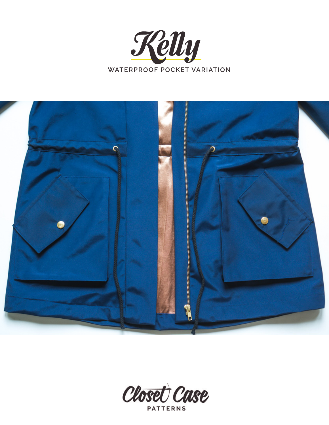



Closet Case **PATTERNS**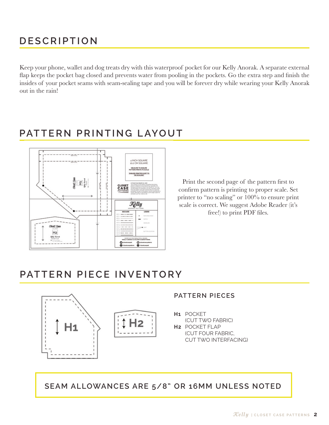# **D ESCRIPTION**

Keep your phone, wallet and dog treats dry with this waterproof pocket for our Kelly Anorak. A separate external flap keeps the pocket bag closed and prevents water from pooling in the pockets. Go the extra step and finish the insides of your pocket seams with seam-sealing tape and you will be forever dry while wearing your Kelly Anorak out in the rain!

# **pattern printing layout**



Print the second page of the pattern first to confirm pattern is printing to proper scale. Set printer to "no scaling" or 100% to ensure print scale is correct. We suggest Adobe Reader (it's free!) to print PDF files.

### **PATTERN PIECE INVENTORY**



#### **PATTERN PIECES**

POCKET **H1** (CUT TWO FABRIC)

**H2 POCKET FLAP** (CUT FOUR FABRIC, CUT TWO INTERFACING)

**SEAM ALLOWANCES ARE 5/8" OR 16mm UNLESS NOTED**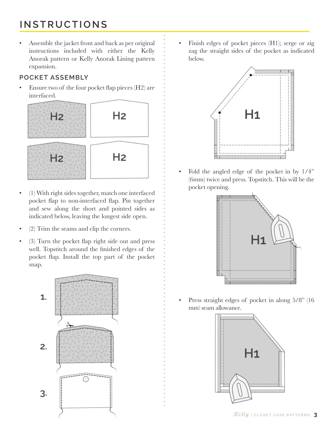# **INSTRUCTIONS**

• Assemble the jacket front and back as per original instructions included with either the Kelly Anorak pattern or Kelly Anorak Lining pattern expansion.

#### **pocket assembly**

• Ensure two of the four pocket flap pieces (H2) are interfaced.



- (1) With right sides together, match one interfaced pocket flap to non-interfaced flap. Pin together and sew along the short and pointed sides as indicated below, leaving the longest side open.
- (2) Trim the seams and clip the corners.
- (3) Turn the pocket flap right side out and press well. Topstitch around the finished edges of the pocket flap. Install the top part of the pocket snap.



• Finish edges of pocket pieces (H1); serge or zig zag the straight sides of the pocket as indicated below.



• Fold the angled edge of the pocket in by 1/4" (6mm) twice and press. Topstitch. This will be the pocket opening.



Press straight edges of pocket in along  $5/8$ " (16 mm) seam allowance.

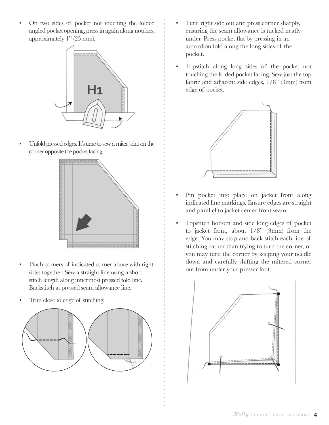• On two sides of pocket not touching the folded angled pocket opening, press in again along notches, approximately 1" (25 mm).



• Unfold pressed edges. It's time to sew a miter joint on the corner opposite the pocket facing.



- Pinch corners of indicated corner above with right sides together. Sew a straight line using a short stitch length along innermost pressed fold line. Backstitch at pressed seam allowance line.
- Trim close to edge of stitching.



- Turn right side out and press corner sharply, ensuring the seam allowance is tucked neatly under. Press pocket flat by pressing in an accordion fold along the long sides of the pocket.
- Topstitch along long sides of the pocket not touching the folded pocket facing. Sew just the top fabric and adjacent side edges, 1/8" (3mm) from edge of pocket.



- Pin pocket into place on jacket front along indicated line markings. Ensure edges are straight and parallel to jacket center front seam.
- Topstitch bottom and side long edges of pocket to jacket front, about 1/8" (3mm) from the edge. You may stop and back stitch each line of stitching rather than trying to turn the corner, or you may turn the corner by keeping your needle down and carefully shifting the mitered corner out from under your presser foot.

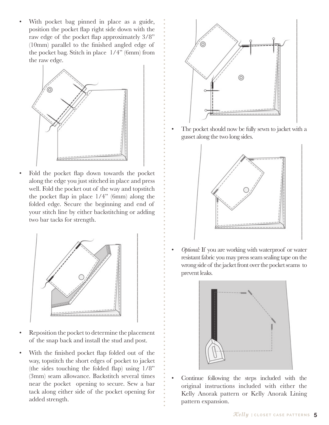With pocket bag pinned in place as a guide, position the pocket flap right side down with the raw edge of the pocket flap approximately 3/8" (10mm) parallel to the finished angled edge of the pocket bag. Stitch in place 1/4" (6mm) from the raw edge.



• Fold the pocket flap down towards the pocket along the edge you just stitched in place and press well. Fold the pocket out of the way and topstitch the pocket flap in place 1/4" (6mm) along the folded edge. Secure the beginning and end of your stitch line by either backstitching or adding two bar tacks for strength.



- Reposition the pocket to determine the placement of the snap back and install the stud and post.
- With the finished pocket flap folded out of the way, topstitch the short edges of pocket to jacket (the sides touching the folded flap) using 1/8" (3mm) seam allowance. Backstitch several times near the pocket opening to secure. Sew a bar tack along either side of the pocket opening for added strength.



The pocket should now be fully sewn to jacket with a gusset along the two long sides.



• *Optional:* If you are working with waterproof or water resistant fabric you may press seam sealing tape on the wrong side of the jacket front over the pocket seams to prevent leaks.



• Continue following the steps included with the original instructions included with either the Kelly Anorak pattern or Kelly Anorak Lining pattern expansion.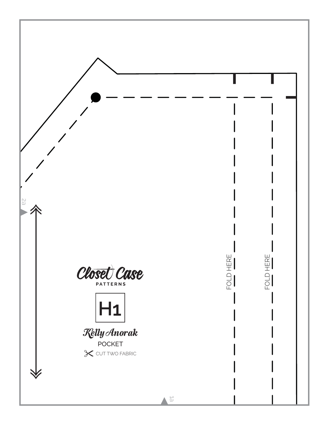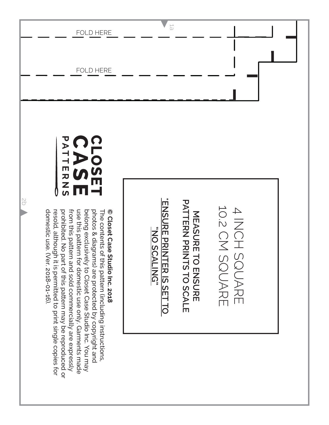|                      | <b>FOLD HERE</b>                                                                                                                                                                                                                                                                                                                                                                                                                                                                                                                | $\overrightarrow{D}$                                                                                                                            |
|----------------------|---------------------------------------------------------------------------------------------------------------------------------------------------------------------------------------------------------------------------------------------------------------------------------------------------------------------------------------------------------------------------------------------------------------------------------------------------------------------------------------------------------------------------------|-------------------------------------------------------------------------------------------------------------------------------------------------|
|                      | <b>FOLD HERE</b>                                                                                                                                                                                                                                                                                                                                                                                                                                                                                                                |                                                                                                                                                 |
| $\frac{1}{\sqrt{2}}$ | PATT<br>CLOSET<br><b>ERNS</b><br>Ш<br>© Closet Case Studio Inc. 2018<br>domestic use. (Ver. 2018-01-16).<br>prohibited. No part of this pattern may be reproduced or<br>from this pattern and sold commercially are expressly<br>use this pattern for domestic use only. Garments made<br>photos & diagrams) are protected by copyright and<br>belong exclusively to Closet Case Studio Inc. You may<br>The contents of this pattern (including instructions,<br>resold, although<br>it is permitted to print single copies for | <b>ENSURE PRINTER IS SET TO</b><br><b>PATTERN PRINTS TO SCALE</b><br>4 INCH SQUARE<br>4 INCH SQUARE<br><b>NEWSCRE HO ENSURE</b><br>"DU SCALING" |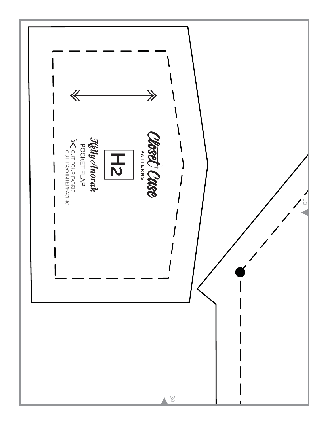